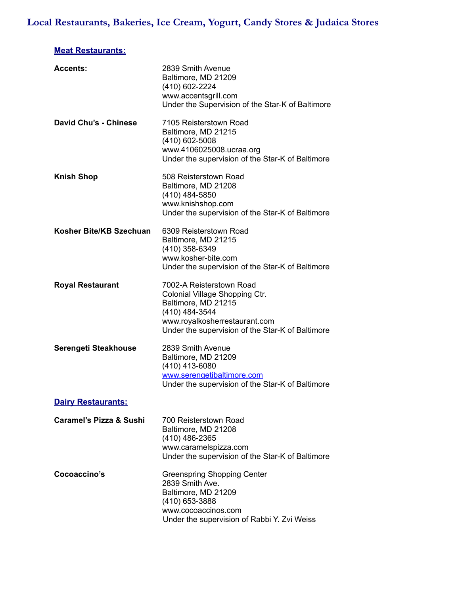# **Local Restaurants, Bakeries, Ice Cream, Yogurt, Candy Stores & Judaica Stores**

# **Meat Restaurants:**

| 2839 Smith Avenue<br>Baltimore, MD 21209<br>(410) 602-2224<br>www.accentsgrill.com<br>Under the Supervision of the Star-K of Baltimore                                                   |
|------------------------------------------------------------------------------------------------------------------------------------------------------------------------------------------|
| 7105 Reisterstown Road<br>Baltimore, MD 21215<br>$(410)$ 602-5008<br>www.4106025008.ucraa.org<br>Under the supervision of the Star-K of Baltimore                                        |
| 508 Reisterstown Road<br>Baltimore, MD 21208<br>(410) 484-5850<br>www.knishshop.com<br>Under the supervision of the Star-K of Baltimore                                                  |
| 6309 Reisterstown Road<br>Baltimore, MD 21215<br>(410) 358-6349<br>www.kosher-bite.com<br>Under the supervision of the Star-K of Baltimore                                               |
| 7002-A Reisterstown Road<br>Colonial Village Shopping Ctr.<br>Baltimore, MD 21215<br>(410) 484-3544<br>www.royalkosherrestaurant.com<br>Under the supervision of the Star-K of Baltimore |
| 2839 Smith Avenue<br>Baltimore, MD 21209<br>(410) 413-6080<br>www.serengetibaltimore.com<br>Under the supervision of the Star-K of Baltimore                                             |
|                                                                                                                                                                                          |
| 700 Reisterstown Road<br>Baltimore, MD 21208<br>$(410)$ 486-2365<br>www.caramelspizza.com<br>Under the supervision of the Star-K of Baltimore                                            |
| <b>Greenspring Shopping Center</b><br>2839 Smith Ave.<br>Baltimore, MD 21209<br>(410) 653-3888<br>www.cocoaccinos.com<br>Under the supervision of Rabbi Y. Zvi Weiss                     |
|                                                                                                                                                                                          |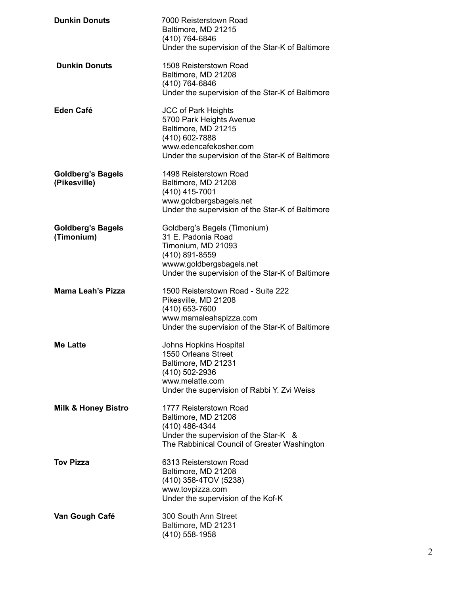| <b>Dunkin Donuts</b>                     | 7000 Reisterstown Road<br>Baltimore, MD 21215<br>(410) 764-6846<br>Under the supervision of the Star-K of Baltimore                                                           |
|------------------------------------------|-------------------------------------------------------------------------------------------------------------------------------------------------------------------------------|
| <b>Dunkin Donuts</b>                     | 1508 Reisterstown Road<br>Baltimore, MD 21208<br>(410) 764-6846<br>Under the supervision of the Star-K of Baltimore                                                           |
| Eden Café                                | <b>JCC of Park Heights</b><br>5700 Park Heights Avenue<br>Baltimore, MD 21215<br>(410) 602-7888<br>www.edencafekosher.com<br>Under the supervision of the Star-K of Baltimore |
| <b>Goldberg's Bagels</b><br>(Pikesville) | 1498 Reisterstown Road<br>Baltimore, MD 21208<br>(410) 415-7001<br>www.goldbergsbagels.net<br>Under the supervision of the Star-K of Baltimore                                |
| <b>Goldberg's Bagels</b><br>(Timonium)   | Goldberg's Bagels (Timonium)<br>31 E. Padonia Road<br>Timonium, MD 21093<br>(410) 891-8559<br>wwww.goldbergsbagels.net<br>Under the supervision of the Star-K of Baltimore    |
| <b>Mama Leah's Pizza</b>                 | 1500 Reisterstown Road - Suite 222<br>Pikesville, MD 21208<br>(410) 653-7600<br>www.mamaleahspizza.com<br>Under the supervision of the Star-K of Baltimore                    |
| <b>Me Latte</b>                          | <b>Johns Hopkins Hospital</b><br>1550 Orleans Street<br>Baltimore, MD 21231<br>(410) 502-2936<br>www.melatte.com<br>Under the supervision of Rabbi Y. Zvi Weiss               |
| <b>Milk &amp; Honey Bistro</b>           | 1777 Reisterstown Road<br>Baltimore, MD 21208<br>(410) 486-4344<br>Under the supervision of the Star-K &<br>The Rabbinical Council of Greater Washington                      |
| <b>Tov Pizza</b>                         | 6313 Reisterstown Road<br>Baltimore, MD 21208<br>(410) 358-4TOV (5238)<br>www.tovpizza.com<br>Under the supervision of the Kof-K                                              |
| Van Gough Café                           | 300 South Ann Street<br>Baltimore, MD 21231<br>(410) 558-1958                                                                                                                 |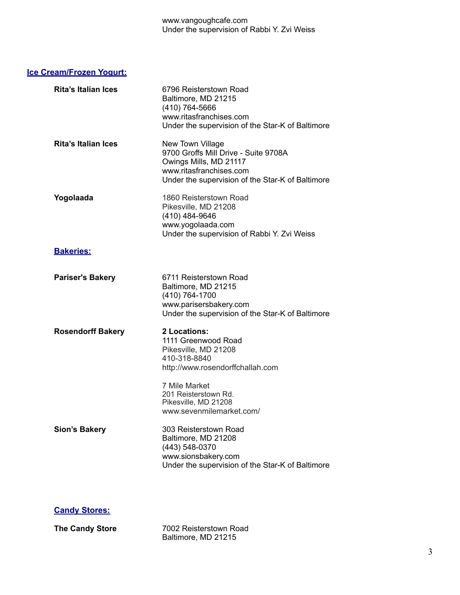### **Ice Cream/Frozen Yogurt:**

| <b>Rita's Italian Ices</b> | 6796 Reisterstown Road<br>Baltimore, MD 21215<br>(410) 764-5666<br>www.ritasfranchises.com<br>Under the supervision of the Star-K of Baltimore                    |
|----------------------------|-------------------------------------------------------------------------------------------------------------------------------------------------------------------|
| <b>Rita's Italian Ices</b> | New Town Village<br>9700 Groffs Mill Drive - Suite 9708A<br>Owings Mills, MD 21117<br>www.ritasfranchises.com<br>Under the supervision of the Star-K of Baltimore |
| Yogolaada                  | 1860 Reisterstown Road<br>Pikesville, MD 21208<br>(410) 484-9646<br>www.yogolaada.com<br>Under the supervision of Rabbi Y. Zvi Weiss                              |
| <b>Bakeries:</b>           |                                                                                                                                                                   |
| <b>Pariser's Bakery</b>    | 6711 Reisterstown Road<br>Baltimore, MD 21215<br>(410) 764-1700<br>www.parisersbakery.com<br>Under the supervision of the Star-K of Baltimore                     |
| <b>Rosendorff Bakery</b>   | 2 Locations:<br>1111 Greenwood Road<br>Pikesville, MD 21208<br>410-318-8840<br>http://www.rosendorffchallah.com                                                   |
|                            | 7 Mile Market<br>201 Reisterstown Rd.<br>Pikesville, MD 21208<br>www.sevenmilemarket.com/                                                                         |
| <b>Sion's Bakery</b>       | 303 Reisterstown Road<br>Baltimore, MD 21208<br>(443) 548-0370<br>www.sionsbakery.com<br>Under the supervision of the Star-K of Baltimore                         |

### **Candy Stores:**

**The Candy Store** 7002 Reisterstown Road Baltimore, MD 21215